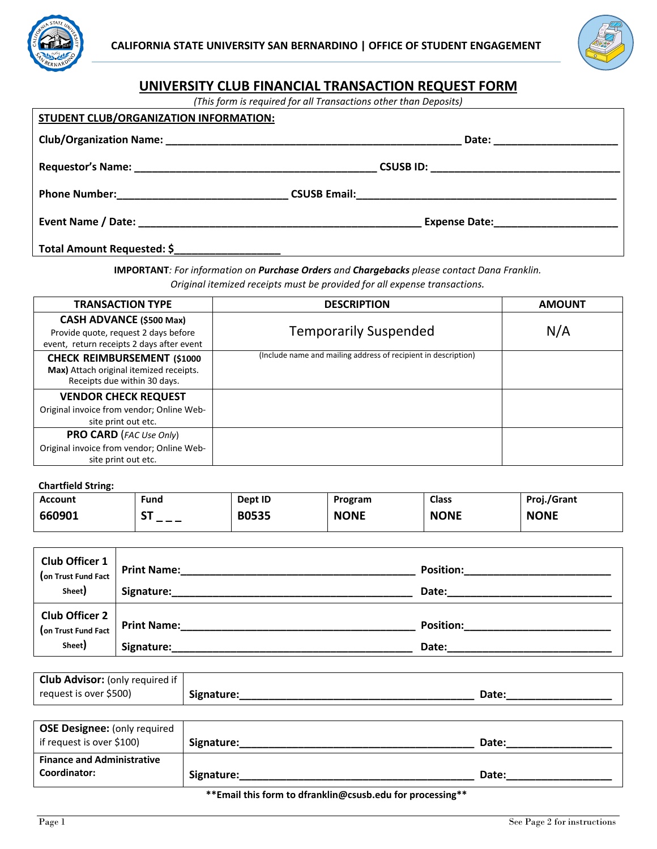



# **UNIVERSITY CLUB FINANCIAL TRANSACTION REQUEST FORM**

*(This form is required for all Transactions other than Deposits)*

| STUDENT CLUB/ORGANIZATION INFORMATION: |                                 |
|----------------------------------------|---------------------------------|
|                                        | Date: _________________________ |
|                                        |                                 |
|                                        |                                 |
|                                        |                                 |
| Total Amount Requested: \$             |                                 |

**IMPORTANT***: For information on Purchase Orders and Chargebacks please contact Dana Franklin. Original itemized receipts must be provided for all expense transactions.* 

| <b>TRANSACTION TYPE</b>                                                                                              | <b>DESCRIPTION</b>                                             | <b>AMOUNT</b> |
|----------------------------------------------------------------------------------------------------------------------|----------------------------------------------------------------|---------------|
| <b>CASH ADVANCE (\$500 Max)</b><br>Provide quote, request 2 days before<br>event, return receipts 2 days after event | <b>Temporarily Suspended</b>                                   | N/A           |
| <b>CHECK REIMBURSEMENT (\$1000</b><br>Max) Attach original itemized receipts.<br>Receipts due within 30 days.        | (Include name and mailing address of recipient in description) |               |
| <b>VENDOR CHECK REQUEST</b><br>Original invoice from vendor; Online Web-<br>site print out etc.                      |                                                                |               |
| <b>PRO CARD</b> (FAC Use Only)<br>Original invoice from vendor; Online Web-<br>site print out etc.                   |                                                                |               |

#### **Chartfield String:**

| Account | Fund      | Dept ID      | Program     | <b>Class</b> | Proj./Grant |
|---------|-----------|--------------|-------------|--------------|-------------|
| 660901  | cт<br>--- | <b>B0535</b> | <b>NONE</b> | <b>NONE</b>  | <b>NONE</b> |

| <b>Club Officer 1</b><br>(on Trust Fund Fact | <b>Print Name:</b> | <b>Position:</b> |
|----------------------------------------------|--------------------|------------------|
| Sheet)                                       | Signature:         | Date:            |
| <b>Club Officer 2</b><br>(on Trust Fund Fact | <b>Print Name:</b> | <b>Position:</b> |
| Sheet)                                       | Signature:         | Date:            |

| <b>Club Advisor:</b> (only required if |            |       |
|----------------------------------------|------------|-------|
| request is over \$500)                 | Signature: | Date: |

| <b>OSE Designee: (only required</b><br>if request is over \$100) | Signature: | Date: |
|------------------------------------------------------------------|------------|-------|
| <b>Finance and Administrative</b><br>Coordinator:                | Signature: | Date: |

#### **\*\*Email this form to dfranklin@csusb.edu for processing\*\***